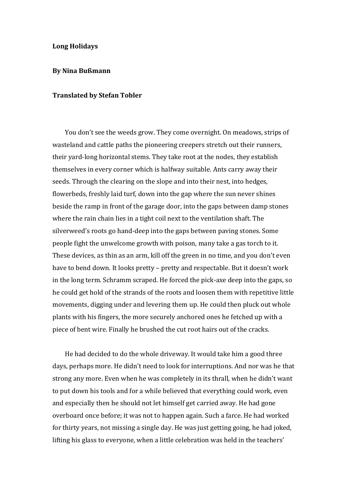## **Long Holidays**

## **By Nina Bußmann**

## **Translated by Stefan Tobler**

You don't see the weeds grow. They come overnight. On meadows, strips of wasteland and cattle paths the pioneering creepers stretch out their runners, their yard-long horizontal stems. They take root at the nodes, they establish themselves in every corner which is halfway suitable. Ants carry away their seeds. Through the clearing on the slope and into their nest, into hedges, flowerbeds, freshly laid turf, down into the gap where the sun never shines beside the ramp in front of the garage door, into the gaps between damp stones where the rain chain lies in a tight coil next to the ventilation shaft. The silverweed's roots go hand-deep into the gaps between paving stones. Some people fight the unwelcome growth with poison, many take a gas torch to it. These devices, as thin as an arm, kill off the green in no time, and you don't even have to bend down. It looks pretty – pretty and respectable. But it doesn't work in the long term. Schramm scraped. He forced the pick-axe deep into the gaps, so he could get hold of the strands of the roots and loosen them with repetitive little movements, digging under and levering them up. He could then pluck out whole plants with his fingers, the more securely anchored ones he fetched up with a piece of bent wire. Finally he brushed the cut root hairs out of the cracks.

He had decided to do the whole driveway. It would take him a good three days, perhaps more. He didn't need to look for interruptions. And nor was he that strong any more. Even when he was completely in its thrall, when he didn't want to put down his tools and for a while believed that everything could work, even and especially then he should not let himself get carried away. He had gone overboard once before; it was not to happen again. Such a farce. He had worked for thirty years, not missing a single day. He was just getting going, he had joked, lifting his glass to everyone, when a little celebration was held in the teachers'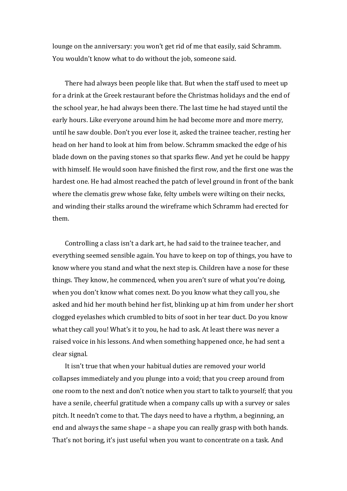lounge on the anniversary: you won't get rid of me that easily, said Schramm. You wouldn't know what to do without the job, someone said.

There had always been people like that. But when the staff used to meet up for a drink at the Greek restaurant before the Christmas holidays and the end of the school year, he had always been there. The last time he had stayed until the early hours. Like everyone around him he had become more and more merry, until he saw double. Don't you ever lose it, asked the trainee teacher, resting her head on her hand to look at him from below. Schramm smacked the edge of his blade down on the paving stones so that sparks flew. And yet he could be happy with himself. He would soon have finished the first row, and the first one was the hardest one. He had almost reached the patch of level ground in front of the bank where the clematis grew whose fake, felty umbels were wilting on their necks, and winding their stalks around the wireframe which Schramm had erected for them.

Controlling a class isn't a dark art, he had said to the trainee teacher, and everything seemed sensible again. You have to keep on top of things, you have to know where you stand and what the next step is. Children have a nose for these things. They know, he commenced, when you aren't sure of what you're doing, when you don't know what comes next. Do you know what they call you, she asked and hid her mouth behind her fist, blinking up at him from under her short clogged eyelashes which crumbled to bits of soot in her tear duct. Do you know what they call you! What's it to you, he had to ask. At least there was never a raised voice in his lessons. And when something happened once, he had sent a clear signal.

It isn't true that when your habitual duties are removed your world collapses immediately and you plunge into a void; that you creep around from one room to the next and don't notice when you start to talk to yourself; that you have a senile, cheerful gratitude when a company calls up with a survey or sales pitch. It needn't come to that. The days need to have a rhythm, a beginning, an end and always the same shape – a shape you can really grasp with both hands. That's not boring, it's just useful when you want to concentrate on a task. And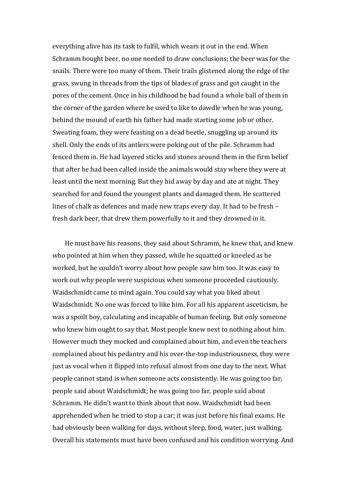everything alive has its task to fulfil, which wears it out in the end. When Schramm bought beer, no one needed to draw conclusions; the beer was for the snails. There were too many of them. Their trails glistened along the edge of the grass, swung in threads from the tips of blades of grass and got caught in the pores of the cement. Once in his childhood he had found a whole ball of them in the corner of the garden where he used to like to dawdle when he was young, behind the mound of earth his father had made starting some job or other. Sweating foam, they were feasting on a dead beetle, snuggling up around its shell. Only the ends of its antlers were poking out of the pile. Schramm had fenced them in. He had layered sticks and stones around them in the firm belief that after he had been called inside the animals would stay where they were at least until the next morning. But they hid away by day and ate at night. They searched for and found the youngest plants and damaged them. He scattered lines of chalk as defences and made new traps every day. It had to be fresh – fresh dark beer, that drew them powerfully to it and they drowned in it.

He must have his reasons, they said about Schramm, he knew that, and knew who pointed at him when they passed, while he squatted or kneeled as he worked, but he couldn't worry about how people saw him too. It was easy to work out why people were suspicious when someone proceeded cautiously. Waidschmidt came to mind again. You could say what you liked about Waidschmidt. No one was forced to like him. For all his apparent asceticism, he was a spoilt boy, calculating and incapable of human feeling. But only someone who knew him ought to say that. Most people knew next to nothing about him. However much they mocked and complained about him, and even the teachers complained about his pedantry and his over-the-top industriousness, they were just as vocal when it flipped into refusal almost from one day to the next. What people cannot stand is when someone acts consistently. He was going too far, people said about Waidschmidt; he was going too far, people said about Schramm. He didn't want to think about that now. Waidschmidt had been apprehended when he tried to stop a car; it was just before his final exams. He had obviously been walking for days, without sleep, food, water, just walking. Overall his statements must have been confused and his condition worrying. And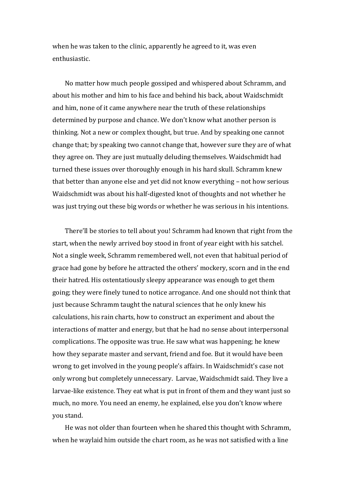when he was taken to the clinic, apparently he agreed to it, was even enthusiastic.

No matter how much people gossiped and whispered about Schramm, and about his mother and him to his face and behind his back, about Waidschmidt and him, none of it came anywhere near the truth of these relationships determined by purpose and chance. We don't know what another person is thinking. Not a new or complex thought, but true. And by speaking one cannot change that; by speaking two cannot change that, however sure they are of what they agree on. They are just mutually deluding themselves. Waidschmidt had turned these issues over thoroughly enough in his hard skull. Schramm knew that better than anyone else and yet did not know everything – not how serious Waidschmidt was about his half-digested knot of thoughts and not whether he was just trying out these big words or whether he was serious in his intentions.

There'll be stories to tell about you! Schramm had known that right from the start, when the newly arrived boy stood in front of year eight with his satchel. Not a single week, Schramm remembered well, not even that habitual period of grace had gone by before he attracted the others' mockery, scorn and in the end their hatred. His ostentatiously sleepy appearance was enough to get them going; they were finely tuned to notice arrogance. And one should not think that just because Schramm taught the natural sciences that he only knew his calculations, his rain charts, how to construct an experiment and about the interactions of matter and energy, but that he had no sense about interpersonal complications. The opposite was true. He saw what was happening; he knew how they separate master and servant, friend and foe. But it would have been wrong to get involved in the young people's affairs. In Waidschmidt's case not only wrong but completely unnecessary. Larvae, Waidschmidt said. They live a larvae-like existence. They eat what is put in front of them and they want just so much, no more. You need an enemy, he explained, else you don't know where you stand.

He was not older than fourteen when he shared this thought with Schramm, when he waylaid him outside the chart room, as he was not satisfied with a line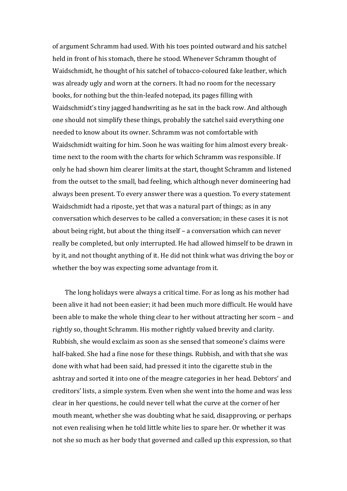of argument Schramm had used. With his toes pointed outward and his satchel held in front of his stomach, there he stood. Whenever Schramm thought of Waidschmidt, he thought of his satchel of tobacco-coloured fake leather, which was already ugly and worn at the corners. It had no room for the necessary books, for nothing but the thin-leafed notepad, its pages filling with Waidschmidt's tiny jagged handwriting as he sat in the back row. And although one should not simplify these things, probably the satchel said everything one needed to know about its owner. Schramm was not comfortable with Waidschmidt waiting for him. Soon he was waiting for him almost every breaktime next to the room with the charts for which Schramm was responsible. If only he had shown him clearer limits at the start, thought Schramm and listened from the outset to the small, bad feeling, which although never domineering had always been present. To every answer there was a question. To every statement Waidschmidt had a riposte, yet that was a natural part of things; as in any conversation which deserves to be called a conversation; in these cases it is not about being right, but about the thing itself – a conversation which can never really be completed, but only interrupted. He had allowed himself to be drawn in by it, and not thought anything of it. He did not think what was driving the boy or whether the boy was expecting some advantage from it.

The long holidays were always a critical time. For as long as his mother had been alive it had not been easier; it had been much more difficult. He would have been able to make the whole thing clear to her without attracting her scorn – and rightly so, thought Schramm. His mother rightly valued brevity and clarity. Rubbish, she would exclaim as soon as she sensed that someone's claims were half-baked. She had a fine nose for these things. Rubbish, and with that she was done with what had been said, had pressed it into the cigarette stub in the ashtray and sorted it into one of the meagre categories in her head. Debtors' and creditors' lists, a simple system. Even when she went into the home and was less clear in her questions, he could never tell what the curve at the corner of her mouth meant, whether she was doubting what he said, disapproving, or perhaps not even realising when he told little white lies to spare her. Or whether it was not she so much as her body that governed and called up this expression, so that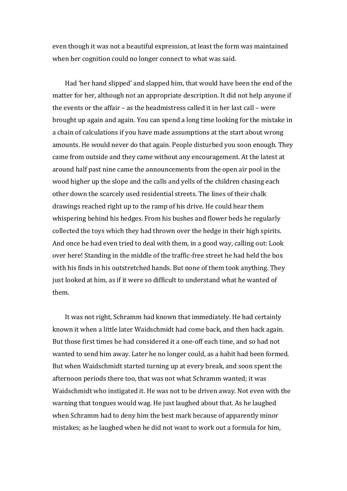even though it was not a beautiful expression, at least the form was maintained when her cognition could no longer connect to what was said.

Had 'her hand slipped' and slapped him, that would have been the end of the matter for her, although not an appropriate description. It did not help anyone if the events or the affair – as the headmistress called it in her last call – were brought up again and again. You can spend a long time looking for the mistake in a chain of calculations if you have made assumptions at the start about wrong amounts. He would never do that again. People disturbed you soon enough. They came from outside and they came without any encouragement. At the latest at around half past nine came the announcements from the open air pool in the wood higher up the slope and the calls and yells of the children chasing each other down the scarcely used residential streets. The lines of their chalk drawings reached right up to the ramp of his drive. He could hear them whispering behind his hedges. From his bushes and flower beds he regularly collected the toys which they had thrown over the hedge in their high spirits. And once he had even tried to deal with them, in a good way, calling out: Look over here! Standing in the middle of the traffic-free street he had held the box with his finds in his outstretched hands. But none of them took anything. They just looked at him, as if it were so difficult to understand what he wanted of them.

It was not right, Schramm had known that immediately. He had certainly known it when a little later Waidschmidt had come back, and then back again. But those first times he had considered it a one-off each time, and so had not wanted to send him away. Later he no longer could, as a habit had been formed. But when Waidschmidt started turning up at every break, and soon spent the afternoon periods there too, that was not what Schramm wanted; it was Waidschmidt who instigated it. He was not to be driven away. Not even with the warning that tongues would wag. He just laughed about that. As he laughed when Schramm had to deny him the best mark because of apparently minor mistakes; as he laughed when he did not want to work out a formula for him,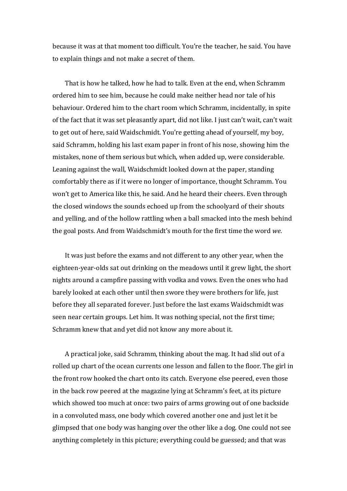because it was at that moment too difficult. You're the teacher, he said. You have to explain things and not make a secret of them.

That is how he talked, how he had to talk. Even at the end, when Schramm ordered him to see him, because he could make neither head nor tale of his behaviour. Ordered him to the chart room which Schramm, incidentally, in spite of the fact that it was set pleasantly apart, did not like. I just can't wait, can't wait to get out of here, said Waidschmidt. You're getting ahead of yourself, my boy, said Schramm, holding his last exam paper in front of his nose, showing him the mistakes, none of them serious but which, when added up, were considerable. Leaning against the wall, Waidschmidt looked down at the paper, standing comfortably there as if it were no longer of importance, thought Schramm. You won't get to America like this, he said. And he heard their cheers. Even through the closed windows the sounds echoed up from the schoolyard of their shouts and yelling, and of the hollow rattling when a ball smacked into the mesh behind the goal posts. And from Waidschmidt's mouth for the first time the word *we*.

It was just before the exams and not different to any other year, when the eighteen-year-olds sat out drinking on the meadows until it grew light, the short nights around a campfire passing with vodka and vows. Even the ones who had barely looked at each other until then swore they were brothers for life, just before they all separated forever. Just before the last exams Waidschmidt was seen near certain groups. Let him. It was nothing special, not the first time; Schramm knew that and yet did not know any more about it.

A practical joke, said Schramm, thinking about the mag. It had slid out of a rolled up chart of the ocean currents one lesson and fallen to the floor. The girl in the front row hooked the chart onto its catch. Everyone else peered, even those in the back row peered at the magazine lying at Schramm's feet, at its picture which showed too much at once: two pairs of arms growing out of one backside in a convoluted mass, one body which covered another one and just let it be glimpsed that one body was hanging over the other like a dog. One could not see anything completely in this picture; everything could be guessed; and that was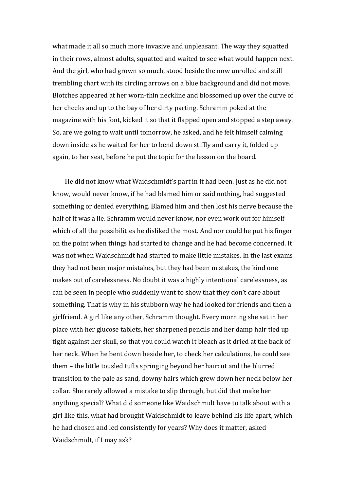what made it all so much more invasive and unpleasant. The way they squatted in their rows, almost adults, squatted and waited to see what would happen next. And the girl, who had grown so much, stood beside the now unrolled and still trembling chart with its circling arrows on a blue background and did not move. Blotches appeared at her worn-thin neckline and blossomed up over the curve of her cheeks and up to the bay of her dirty parting. Schramm poked at the magazine with his foot, kicked it so that it flapped open and stopped a step away. So, are we going to wait until tomorrow, he asked, and he felt himself calming down inside as he waited for her to bend down stiffly and carry it, folded up again, to her seat, before he put the topic for the lesson on the board.

He did not know what Waidschmidt's part in it had been. Just as he did not know, would never know, if he had blamed him or said nothing, had suggested something or denied everything. Blamed him and then lost his nerve because the half of it was a lie. Schramm would never know, nor even work out for himself which of all the possibilities he disliked the most. And nor could he put his finger on the point when things had started to change and he had become concerned. It was not when Waidschmidt had started to make little mistakes. In the last exams they had not been major mistakes, but they had been mistakes, the kind one makes out of carelessness. No doubt it was a highly intentional carelessness, as can be seen in people who suddenly want to show that they don't care about something. That is why in his stubborn way he had looked for friends and then a girlfriend. A girl like any other, Schramm thought. Every morning she sat in her place with her glucose tablets, her sharpened pencils and her damp hair tied up tight against her skull, so that you could watch it bleach as it dried at the back of her neck. When he bent down beside her, to check her calculations, he could see them – the little tousled tufts springing beyond her haircut and the blurred transition to the pale as sand, downy hairs which grew down her neck below her collar. She rarely allowed a mistake to slip through, but did that make her anything special? What did someone like Waidschmidt have to talk about with a girl like this, what had brought Waidschmidt to leave behind his life apart, which he had chosen and led consistently for years? Why does it matter, asked Waidschmidt, if I may ask?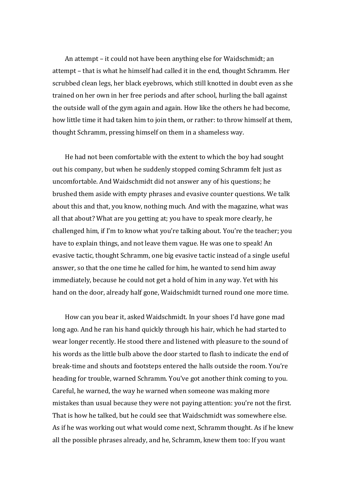An attempt – it could not have been anything else for Waidschmidt; an attempt – that is what he himself had called it in the end, thought Schramm. Her scrubbed clean legs, her black eyebrows, which still knotted in doubt even as she trained on her own in her free periods and after school, hurling the ball against the outside wall of the gym again and again. How like the others he had become, how little time it had taken him to join them, or rather: to throw himself at them, thought Schramm, pressing himself on them in a shameless way.

He had not been comfortable with the extent to which the boy had sought out his company, but when he suddenly stopped coming Schramm felt just as uncomfortable. And Waidschmidt did not answer any of his questions; he brushed them aside with empty phrases and evasive counter questions. We talk about this and that, you know, nothing much. And with the magazine, what was all that about? What are you getting at; you have to speak more clearly, he challenged him, if I'm to know what you're talking about. You're the teacher; you have to explain things, and not leave them vague. He was one to speak! An evasive tactic, thought Schramm, one big evasive tactic instead of a single useful answer, so that the one time he called for him, he wanted to send him away immediately, because he could not get a hold of him in any way. Yet with his hand on the door, already half gone, Waidschmidt turned round one more time.

How can you bear it, asked Waidschmidt. In your shoes I'd have gone mad long ago. And he ran his hand quickly through his hair, which he had started to wear longer recently. He stood there and listened with pleasure to the sound of his words as the little bulb above the door started to flash to indicate the end of break-time and shouts and footsteps entered the halls outside the room. You're heading for trouble, warned Schramm. You've got another think coming to you. Careful, he warned, the way he warned when someone was making more mistakes than usual because they were not paying attention: you're not the first. That is how he talked, but he could see that Waidschmidt was somewhere else. As if he was working out what would come next, Schramm thought. As if he knew all the possible phrases already, and he, Schramm, knew them too: If you want